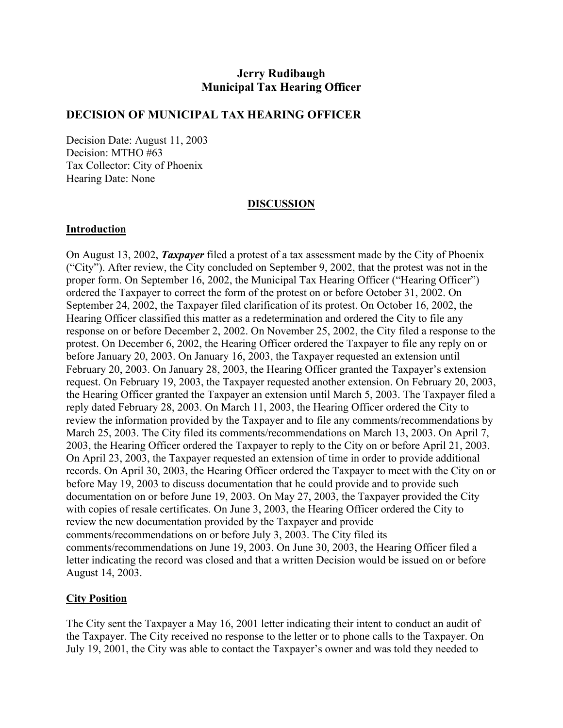# **Jerry Rudibaugh Municipal Tax Hearing Officer**

### **DECISION OF MUNICIPAL TAX HEARING OFFICER**

Decision Date: August 11, 2003 Decision: MTHO #63 Tax Collector: City of Phoenix Hearing Date: None

#### **DISCUSSION**

#### **Introduction**

On August 13, 2002, *Taxpayer* filed a protest of a tax assessment made by the City of Phoenix ("City"). After review, the City concluded on September 9, 2002, that the protest was not in the proper form. On September 16, 2002, the Municipal Tax Hearing Officer ("Hearing Officer") ordered the Taxpayer to correct the form of the protest on or before October 31, 2002. On September 24, 2002, the Taxpayer filed clarification of its protest. On October 16, 2002, the Hearing Officer classified this matter as a redetermination and ordered the City to file any response on or before December 2, 2002. On November 25, 2002, the City filed a response to the protest. On December 6, 2002, the Hearing Officer ordered the Taxpayer to file any reply on or before January 20, 2003. On January 16, 2003, the Taxpayer requested an extension until February 20, 2003. On January 28, 2003, the Hearing Officer granted the Taxpayer's extension request. On February 19, 2003, the Taxpayer requested another extension. On February 20, 2003, the Hearing Officer granted the Taxpayer an extension until March 5, 2003. The Taxpayer filed a reply dated February 28, 2003. On March 11, 2003, the Hearing Officer ordered the City to review the information provided by the Taxpayer and to file any comments/recommendations by March 25, 2003. The City filed its comments/recommendations on March 13, 2003. On April 7, 2003, the Hearing Officer ordered the Taxpayer to reply to the City on or before April 21, 2003. On April 23, 2003, the Taxpayer requested an extension of time in order to provide additional records. On April 30, 2003, the Hearing Officer ordered the Taxpayer to meet with the City on or before May 19, 2003 to discuss documentation that he could provide and to provide such documentation on or before June 19, 2003. On May 27, 2003, the Taxpayer provided the City with copies of resale certificates. On June 3, 2003, the Hearing Officer ordered the City to review the new documentation provided by the Taxpayer and provide comments/recommendations on or before July 3, 2003. The City filed its comments/recommendations on June 19, 2003. On June 30, 2003, the Hearing Officer filed a letter indicating the record was closed and that a written Decision would be issued on or before August 14, 2003.

### **City Position**

The City sent the Taxpayer a May 16, 2001 letter indicating their intent to conduct an audit of the Taxpayer. The City received no response to the letter or to phone calls to the Taxpayer. On July 19, 2001, the City was able to contact the Taxpayer's owner and was told they needed to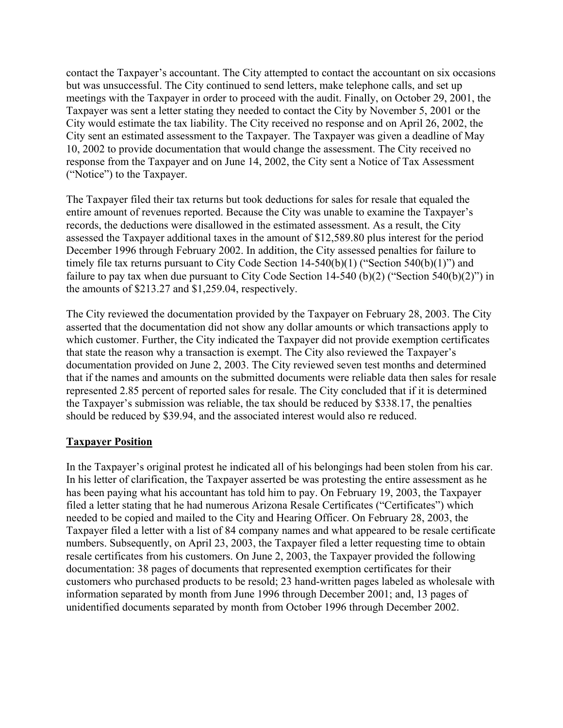contact the Taxpayer's accountant. The City attempted to contact the accountant on six occasions but was unsuccessful. The City continued to send letters, make telephone calls, and set up meetings with the Taxpayer in order to proceed with the audit. Finally, on October 29, 2001, the Taxpayer was sent a letter stating they needed to contact the City by November 5, 2001 or the City would estimate the tax liability. The City received no response and on April 26, 2002, the City sent an estimated assessment to the Taxpayer. The Taxpayer was given a deadline of May 10, 2002 to provide documentation that would change the assessment. The City received no response from the Taxpayer and on June 14, 2002, the City sent a Notice of Tax Assessment ("Notice") to the Taxpayer.

The Taxpayer filed their tax returns but took deductions for sales for resale that equaled the entire amount of revenues reported. Because the City was unable to examine the Taxpayer's records, the deductions were disallowed in the estimated assessment. As a result, the City assessed the Taxpayer additional taxes in the amount of \$12,589.80 plus interest for the period December 1996 through February 2002. In addition, the City assessed penalties for failure to timely file tax returns pursuant to City Code Section 14-540(b)(1) ("Section 540(b)(1)") and failure to pay tax when due pursuant to City Code Section 14-540 (b)(2) ("Section 540(b)(2)") in the amounts of \$213.27 and \$1,259.04, respectively.

The City reviewed the documentation provided by the Taxpayer on February 28, 2003. The City asserted that the documentation did not show any dollar amounts or which transactions apply to which customer. Further, the City indicated the Taxpayer did not provide exemption certificates that state the reason why a transaction is exempt. The City also reviewed the Taxpayer's documentation provided on June 2, 2003. The City reviewed seven test months and determined that if the names and amounts on the submitted documents were reliable data then sales for resale represented 2.85 percent of reported sales for resale. The City concluded that if it is determined the Taxpayer's submission was reliable, the tax should be reduced by \$338.17, the penalties should be reduced by \$39.94, and the associated interest would also re reduced.

### **Taxpayer Position**

In the Taxpayer's original protest he indicated all of his belongings had been stolen from his car. In his letter of clarification, the Taxpayer asserted be was protesting the entire assessment as he has been paying what his accountant has told him to pay. On February 19, 2003, the Taxpayer filed a letter stating that he had numerous Arizona Resale Certificates ("Certificates") which needed to be copied and mailed to the City and Hearing Officer. On February 28, 2003, the Taxpayer filed a letter with a list of 84 company names and what appeared to be resale certificate numbers. Subsequently, on April 23, 2003, the Taxpayer filed a letter requesting time to obtain resale certificates from his customers. On June 2, 2003, the Taxpayer provided the following documentation: 38 pages of documents that represented exemption certificates for their customers who purchased products to be resold; 23 hand-written pages labeled as wholesale with information separated by month from June 1996 through December 2001; and, 13 pages of unidentified documents separated by month from October 1996 through December 2002.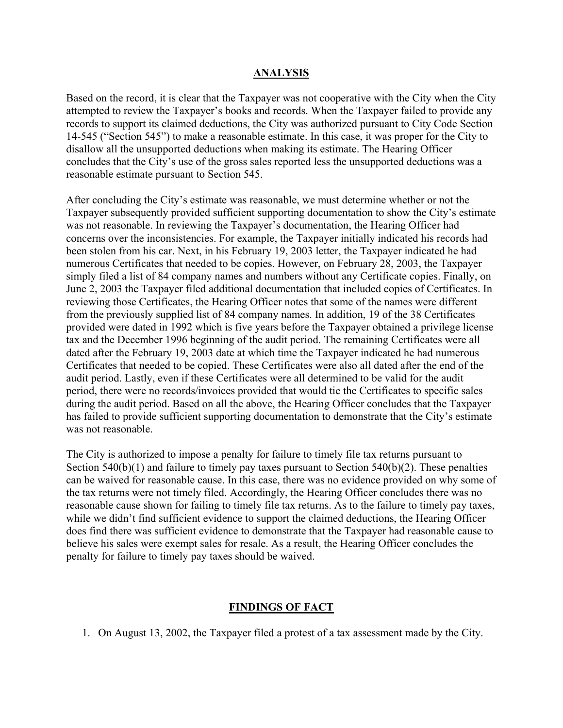### **ANALYSIS**

Based on the record, it is clear that the Taxpayer was not cooperative with the City when the City attempted to review the Taxpayer's books and records. When the Taxpayer failed to provide any records to support its claimed deductions, the City was authorized pursuant to City Code Section 14-545 ("Section 545") to make a reasonable estimate. In this case, it was proper for the City to disallow all the unsupported deductions when making its estimate. The Hearing Officer concludes that the City's use of the gross sales reported less the unsupported deductions was a reasonable estimate pursuant to Section 545.

After concluding the City's estimate was reasonable, we must determine whether or not the Taxpayer subsequently provided sufficient supporting documentation to show the City's estimate was not reasonable. In reviewing the Taxpayer's documentation, the Hearing Officer had concerns over the inconsistencies. For example, the Taxpayer initially indicated his records had been stolen from his car. Next, in his February 19, 2003 letter, the Taxpayer indicated he had numerous Certificates that needed to be copies. However, on February 28, 2003, the Taxpayer simply filed a list of 84 company names and numbers without any Certificate copies. Finally, on June 2, 2003 the Taxpayer filed additional documentation that included copies of Certificates. In reviewing those Certificates, the Hearing Officer notes that some of the names were different from the previously supplied list of 84 company names. In addition, 19 of the 38 Certificates provided were dated in 1992 which is five years before the Taxpayer obtained a privilege license tax and the December 1996 beginning of the audit period. The remaining Certificates were all dated after the February 19, 2003 date at which time the Taxpayer indicated he had numerous Certificates that needed to be copied. These Certificates were also all dated after the end of the audit period. Lastly, even if these Certificates were all determined to be valid for the audit period, there were no records/invoices provided that would tie the Certificates to specific sales during the audit period. Based on all the above, the Hearing Officer concludes that the Taxpayer has failed to provide sufficient supporting documentation to demonstrate that the City's estimate was not reasonable.

The City is authorized to impose a penalty for failure to timely file tax returns pursuant to Section 540(b)(1) and failure to timely pay taxes pursuant to Section 540(b)(2). These penalties can be waived for reasonable cause. In this case, there was no evidence provided on why some of the tax returns were not timely filed. Accordingly, the Hearing Officer concludes there was no reasonable cause shown for failing to timely file tax returns. As to the failure to timely pay taxes, while we didn't find sufficient evidence to support the claimed deductions, the Hearing Officer does find there was sufficient evidence to demonstrate that the Taxpayer had reasonable cause to believe his sales were exempt sales for resale. As a result, the Hearing Officer concludes the penalty for failure to timely pay taxes should be waived.

### **FINDINGS OF FACT**

1. On August 13, 2002, the Taxpayer filed a protest of a tax assessment made by the City.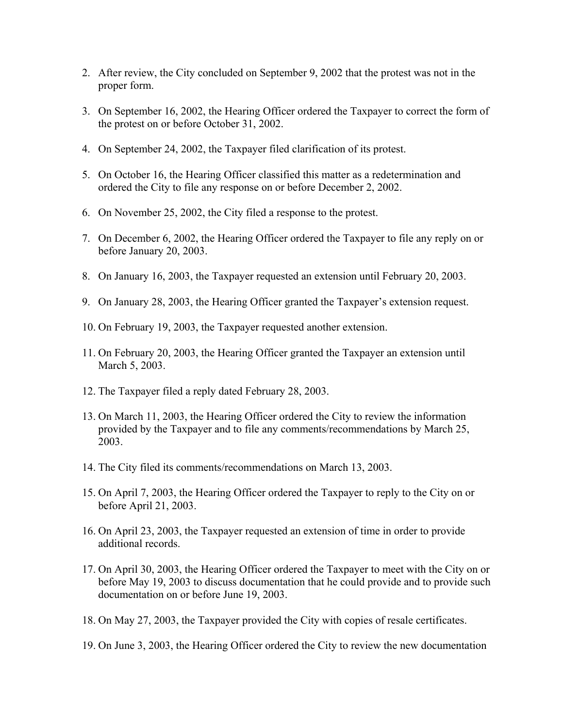- 2. After review, the City concluded on September 9, 2002 that the protest was not in the proper form.
- 3. On September 16, 2002, the Hearing Officer ordered the Taxpayer to correct the form of the protest on or before October 31, 2002.
- 4. On September 24, 2002, the Taxpayer filed clarification of its protest.
- 5. On October 16, the Hearing Officer classified this matter as a redetermination and ordered the City to file any response on or before December 2, 2002.
- 6. On November 25, 2002, the City filed a response to the protest.
- 7. On December 6, 2002, the Hearing Officer ordered the Taxpayer to file any reply on or before January 20, 2003.
- 8. On January 16, 2003, the Taxpayer requested an extension until February 20, 2003.
- 9. On January 28, 2003, the Hearing Officer granted the Taxpayer's extension request.
- 10. On February 19, 2003, the Taxpayer requested another extension.
- 11. On February 20, 2003, the Hearing Officer granted the Taxpayer an extension until March 5, 2003.
- 12. The Taxpayer filed a reply dated February 28, 2003.
- 13. On March 11, 2003, the Hearing Officer ordered the City to review the information provided by the Taxpayer and to file any comments/recommendations by March 25, 2003.
- 14. The City filed its comments/recommendations on March 13, 2003.
- 15. On April 7, 2003, the Hearing Officer ordered the Taxpayer to reply to the City on or before April 21, 2003.
- 16. On April 23, 2003, the Taxpayer requested an extension of time in order to provide additional records.
- 17. On April 30, 2003, the Hearing Officer ordered the Taxpayer to meet with the City on or before May 19, 2003 to discuss documentation that he could provide and to provide such documentation on or before June 19, 2003.
- 18. On May 27, 2003, the Taxpayer provided the City with copies of resale certificates.
- 19. On June 3, 2003, the Hearing Officer ordered the City to review the new documentation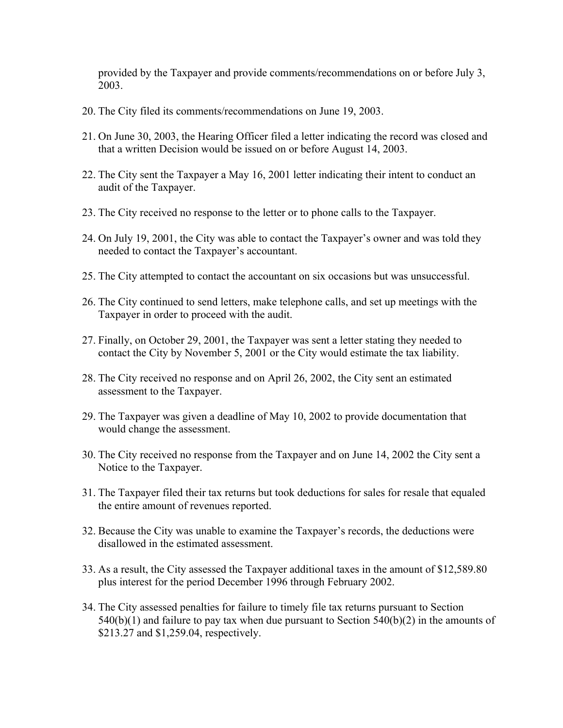provided by the Taxpayer and provide comments/recommendations on or before July 3, 2003.

- 20. The City filed its comments/recommendations on June 19, 2003.
- 21. On June 30, 2003, the Hearing Officer filed a letter indicating the record was closed and that a written Decision would be issued on or before August 14, 2003.
- 22. The City sent the Taxpayer a May 16, 2001 letter indicating their intent to conduct an audit of the Taxpayer.
- 23. The City received no response to the letter or to phone calls to the Taxpayer.
- 24. On July 19, 2001, the City was able to contact the Taxpayer's owner and was told they needed to contact the Taxpayer's accountant.
- 25. The City attempted to contact the accountant on six occasions but was unsuccessful.
- 26. The City continued to send letters, make telephone calls, and set up meetings with the Taxpayer in order to proceed with the audit.
- 27. Finally, on October 29, 2001, the Taxpayer was sent a letter stating they needed to contact the City by November 5, 2001 or the City would estimate the tax liability.
- 28. The City received no response and on April 26, 2002, the City sent an estimated assessment to the Taxpayer.
- 29. The Taxpayer was given a deadline of May 10, 2002 to provide documentation that would change the assessment.
- 30. The City received no response from the Taxpayer and on June 14, 2002 the City sent a Notice to the Taxpayer.
- 31. The Taxpayer filed their tax returns but took deductions for sales for resale that equaled the entire amount of revenues reported.
- 32. Because the City was unable to examine the Taxpayer's records, the deductions were disallowed in the estimated assessment.
- 33. As a result, the City assessed the Taxpayer additional taxes in the amount of \$12,589.80 plus interest for the period December 1996 through February 2002.
- 34. The City assessed penalties for failure to timely file tax returns pursuant to Section  $540(b)(1)$  and failure to pay tax when due pursuant to Section  $540(b)(2)$  in the amounts of \$213.27 and \$1,259.04, respectively.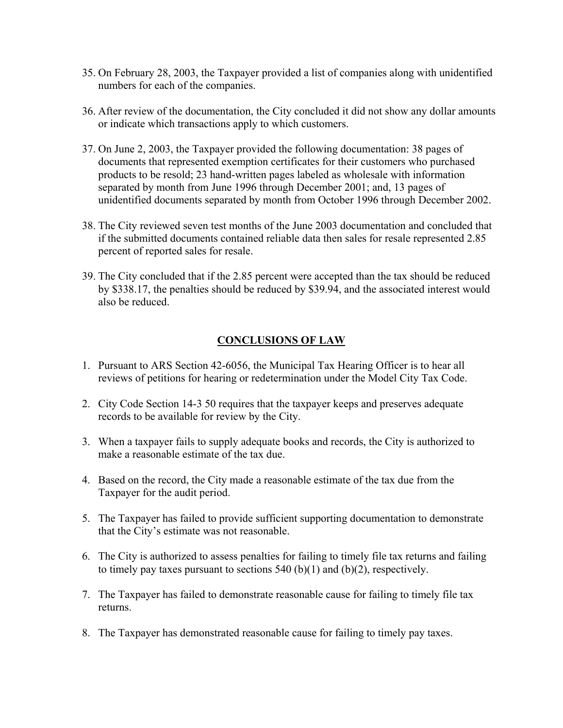- 35. On February 28, 2003, the Taxpayer provided a list of companies along with unidentified numbers for each of the companies.
- 36. After review of the documentation, the City concluded it did not show any dollar amounts or indicate which transactions apply to which customers.
- 37. On June 2, 2003, the Taxpayer provided the following documentation: 38 pages of documents that represented exemption certificates for their customers who purchased products to be resold; 23 hand-written pages labeled as wholesale with information separated by month from June 1996 through December 2001; and, 13 pages of unidentified documents separated by month from October 1996 through December 2002.
- 38. The City reviewed seven test months of the June 2003 documentation and concluded that if the submitted documents contained reliable data then sales for resale represented 2.85 percent of reported sales for resale.
- 39. The City concluded that if the 2.85 percent were accepted than the tax should be reduced by \$338.17, the penalties should be reduced by \$39.94, and the associated interest would also be reduced.

## **CONCLUSIONS OF LAW**

- 1. Pursuant to ARS Section 42-6056, the Municipal Tax Hearing Officer is to hear all reviews of petitions for hearing or redetermination under the Model City Tax Code.
- 2. City Code Section 14-3 50 requires that the taxpayer keeps and preserves adequate records to be available for review by the City.
- 3. When a taxpayer fails to supply adequate books and records, the City is authorized to make a reasonable estimate of the tax due.
- 4. Based on the record, the City made a reasonable estimate of the tax due from the Taxpayer for the audit period.
- 5. The Taxpayer has failed to provide sufficient supporting documentation to demonstrate that the City's estimate was not reasonable.
- 6. The City is authorized to assess penalties for failing to timely file tax returns and failing to timely pay taxes pursuant to sections  $540$  (b)(1) and (b)(2), respectively.
- 7. The Taxpayer has failed to demonstrate reasonable cause for failing to timely file tax returns.
- 8. The Taxpayer has demonstrated reasonable cause for failing to timely pay taxes.